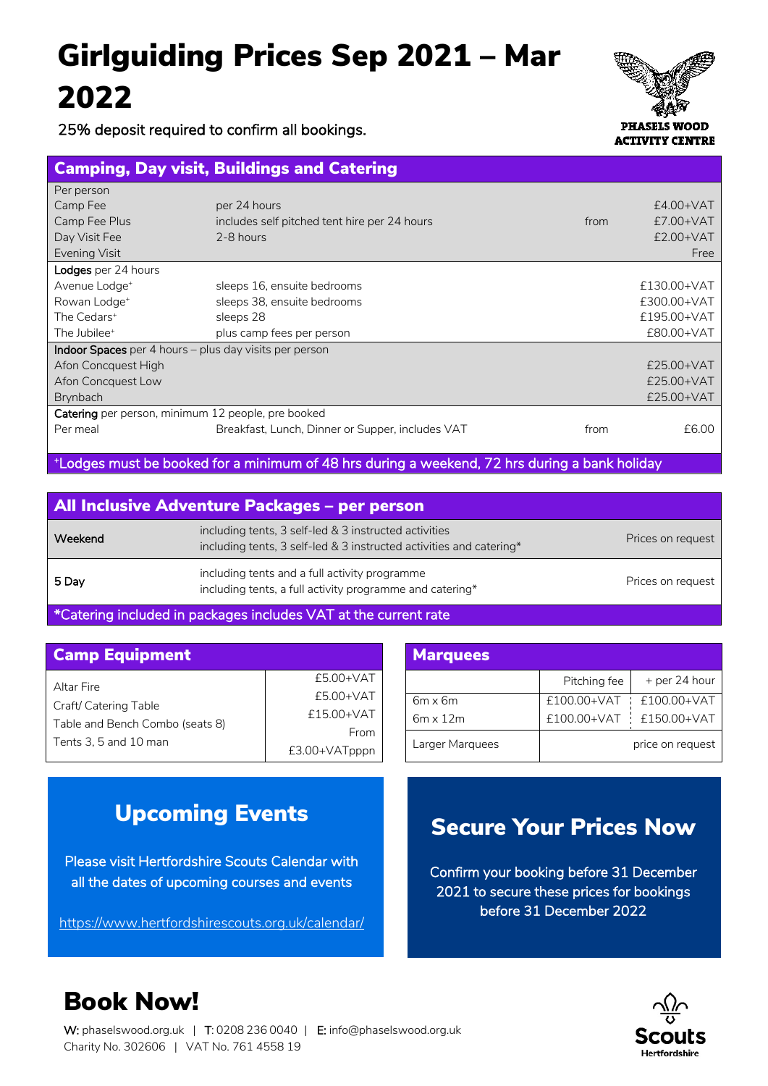# Girlguiding Prices Sep 2021 – Mar 2022

25% deposit required to confirm all bookings.



Camping, Day visit, Buildings and Catering l.

| Per person                                                      |                                                  |      |             |
|-----------------------------------------------------------------|--------------------------------------------------|------|-------------|
| Camp Fee                                                        | per 24 hours                                     |      | $E4.00+VAT$ |
| Camp Fee Plus                                                   | includes self pitched tent hire per 24 hours     | from | $£7.00+VAT$ |
| Day Visit Fee                                                   | 2-8 hours                                        |      | $£2.00+VAT$ |
| Evening Visit                                                   |                                                  |      | Free        |
| Lodges per 24 hours                                             |                                                  |      |             |
| Avenue Lodge <sup>+</sup>                                       | sleeps 16, ensuite bedrooms                      |      | £130.00+VAT |
| Rowan Lodge <sup>+</sup>                                        | sleeps 38, ensuite bedrooms                      |      | £300.00+VAT |
| The Cedars <sup>+</sup>                                         | sleeps 28                                        |      | £195.00+VAT |
| The Jubilee <sup>+</sup>                                        | plus camp fees per person                        |      | £80.00+VAT  |
| <b>Indoor Spaces</b> per 4 hours $-$ plus day visits per person |                                                  |      |             |
| Afon Concquest High                                             |                                                  |      | £25.00+VAT  |
| Afon Concquest Low                                              |                                                  |      | £25.00+VAT  |
| Brynbach                                                        |                                                  |      | £25.00+VAT  |
| Catering per person, minimum 12 people, pre booked              |                                                  |      |             |
| Per meal                                                        | Breakfast, Lunch, Dinner or Supper, includes VAT | from | £6.00       |
|                                                                 |                                                  |      |             |

+ Lodges must be booked for a minimum of 48 hrs during a weekend, 72 hrs during a bank holiday

|         | <b>All Inclusive Adventure Packages - per person</b>                                                                         |                   |
|---------|------------------------------------------------------------------------------------------------------------------------------|-------------------|
| Weekend | including tents, 3 self-led & 3 instructed activities<br>including tents, 3 self-led & 3 instructed activities and catering* | Prices on request |
| 5 Day   | including tents and a full activity programme<br>including tents, a full activity programme and catering*                    | Prices on request |

\*Catering included in packages includes VAT at the current rate

| <b>Camp Equipment</b>                                    |                         |  | <b>Marquees</b>                   |
|----------------------------------------------------------|-------------------------|--|-----------------------------------|
| Altar Fire                                               | $£5.00+VAT$             |  |                                   |
| Craft/ Catering Table<br>Table and Bench Combo (seats 8) | £5.00+VAT<br>£15.00+VAT |  | $6m \times 6m$<br>$6m \times 12m$ |
| Tents 3, 5 and 10 man                                    | From<br>£3.00+VATpppn   |  | Larger Marquee                    |

| <b>Marquees</b> |                         |                         |
|-----------------|-------------------------|-------------------------|
|                 | Pitching fee            | + per 24 hour           |
| $6m \times 6m$  |                         | £100.00+VAT £100.00+VAT |
| $6m \times 12m$ | £100.00+VAT £150.00+VAT |                         |
| Larger Marquees |                         | price on request        |

#### Upcoming Events

Please visit Hertfordshire Scouts Calendar with all the dates of upcoming courses and events

https://www.hertfordshirescouts.org.uk/calendar/

### Secure Your Prices Now

Confirm your booking before 31 December 2021 to secure these prices for bookings before 31 December 2022



Book Now!

W: phaselswood.org.uk | T: 0208 236 0040 | E: info@phaselswood.org.uk Charity No. 302606 | VAT No. 761 4558 19